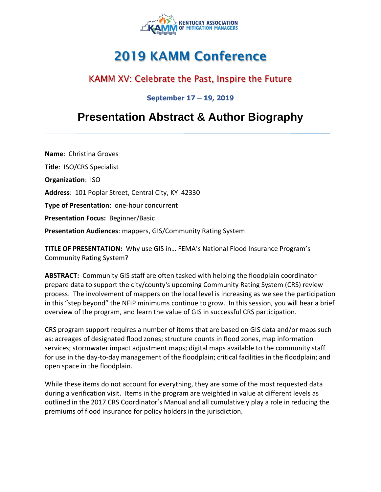

# **2019 KAMM Conference**

### KAMM XV: Celebrate the Past, Inspire the Future

#### **September 17 – 19, 2019**

## **Presentation Abstract & Author Biography**

**Name**: Christina Groves **Title**: ISO/CRS Specialist **Organization**: ISO **Address**: 101 Poplar Street, Central City, KY 42330 **Type of Presentation**: one-hour concurrent **Presentation Focus:** Beginner/Basic **Presentation Audiences**: mappers, GIS/Community Rating System

**TITLE OF PRESENTATION:** Why use GIS in… FEMA's National Flood Insurance Program's Community Rating System?

**ABSTRACT:** Community GIS staff are often tasked with helping the floodplain coordinator prepare data to support the city/county's upcoming Community Rating System (CRS) review process. The involvement of mappers on the local level is increasing as we see the participation in this "step beyond" the NFIP minimums continue to grow. In this session, you will hear a brief overview of the program, and learn the value of GIS in successful CRS participation.

CRS program support requires a number of items that are based on GIS data and/or maps such as: acreages of designated flood zones; structure counts in flood zones, map information services; stormwater impact adjustment maps; digital maps available to the community staff for use in the day‐to‐day management of the floodplain; critical facilities in the floodplain; and open space in the floodplain.

While these items do not account for everything, they are some of the most requested data during a verification visit. Items in the program are weighted in value at different levels as outlined in the 2017 CRS Coordinator's Manual and all cumulatively play a role in reducing the premiums of flood insurance for policy holders in the jurisdiction.